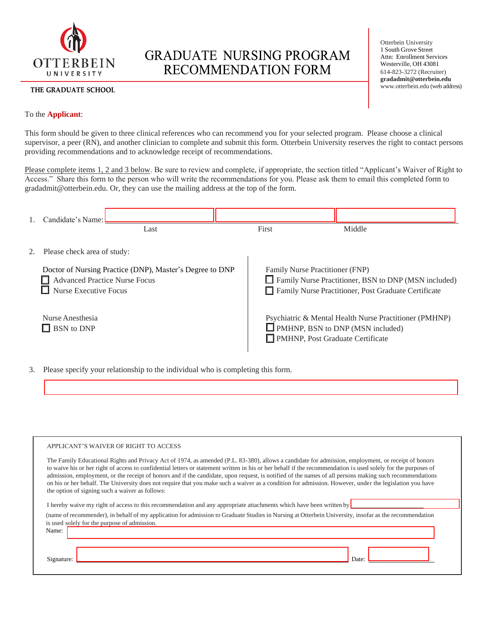

# **GRADUATE NURSING PROGRAM** RECOMMENDATION FORM

## THE GRADUATE SCHOOL

Otterbein University 1 South Grove Street Attn: Enrollment Services Westerville, OH 43081 614-823-3272 (Recruiter) **[gradadmit@otterbein.edu](mailto:gradadmit@otterbein.edu)** [www.otterbein.edu](http://www.otterbein.edu/) (web address)

# To the **Applicant**:

This form should be given to three clinical references who can recommend you for your selected program. Please choose a clinical supervisor, a peer (RN), and another clinician to complete and submit this form. Otterbein University reserves the right to contact persons providing recommendations and to acknowledge receipt of recommendations.

Please complete items 1, 2 and 3 below. Be sure to review and complete, if appropriate, the section titled "Applicant's Waiver of Right to Access." Share this form to the person who will write the recommendations for you. Please ask them to email this completed form to gradadmit@otterbein.edu. Or, they can use the mailing address at the top of the form.

| 1. Candidate's Name:                                                                                                             |                                |       |                                                                                                                                                 |                                                                                                   |  |  |  |
|----------------------------------------------------------------------------------------------------------------------------------|--------------------------------|-------|-------------------------------------------------------------------------------------------------------------------------------------------------|---------------------------------------------------------------------------------------------------|--|--|--|
|                                                                                                                                  | Last                           | First |                                                                                                                                                 | Middle                                                                                            |  |  |  |
|                                                                                                                                  | 2. Please check area of study: |       |                                                                                                                                                 |                                                                                                   |  |  |  |
| Doctor of Nursing Practice (DNP), Master's Degree to DNP<br><b>Advanced Practice Nurse Focus</b><br><b>Nurse Executive Focus</b> |                                |       | Family Nurse Practitioner (FNP)<br>Family Nurse Practitioner, BSN to DNP (MSN included)<br>Family Nurse Practitioner, Post Graduate Certificate |                                                                                                   |  |  |  |
| Nurse Anesthesia<br>$\Box$ BSN to DNP                                                                                            |                                |       | <b>PMHNP, Post Graduate Certificate</b>                                                                                                         | Psychiatric & Mental Health Nurse Practitioner (PMHNP)<br>$\Box$ PMHNP, BSN to DNP (MSN included) |  |  |  |

3. Please specify your relationship to the individual who is completing this form.

#### APPLICANT'S WAIVER OF RIGHT TO ACCESS

| The Family Educational Rights and Privacy Act of 1974, as amended (P.L. 83-380), allows a candidate for admission, employment, or receipt of honors<br>to waive his or her right of access to confidential letters or statement written in his or her behalf if the recommendation is used solely for the purposes of<br>admission, employment, or the receipt of honors and if the candidate, upon request, is notified of the names of all persons making such recommendations<br>on his or her behalf. The University does not require that you make such a waiver as a condition for admission. However, under the legislation you have<br>the option of signing such a waiver as follows: |
|------------------------------------------------------------------------------------------------------------------------------------------------------------------------------------------------------------------------------------------------------------------------------------------------------------------------------------------------------------------------------------------------------------------------------------------------------------------------------------------------------------------------------------------------------------------------------------------------------------------------------------------------------------------------------------------------|
| I hereby waive my right of access to this recommendation and any appropriate attachments which have been written by                                                                                                                                                                                                                                                                                                                                                                                                                                                                                                                                                                            |
| (name of recommender), in behalf of my application for admission to Graduate Studies in Nursing at Otterbein University, insofar as the recommendation                                                                                                                                                                                                                                                                                                                                                                                                                                                                                                                                         |
| is used solely for the purpose of admission.                                                                                                                                                                                                                                                                                                                                                                                                                                                                                                                                                                                                                                                   |
| Name:                                                                                                                                                                                                                                                                                                                                                                                                                                                                                                                                                                                                                                                                                          |
|                                                                                                                                                                                                                                                                                                                                                                                                                                                                                                                                                                                                                                                                                                |
|                                                                                                                                                                                                                                                                                                                                                                                                                                                                                                                                                                                                                                                                                                |

Signature: Departure: Date: Date: Date: Date: Date: Date: Date: Date: Date: Date: Date: Date: Date: Date: Date: Date: Date: Date: Date: Date: Date: Date: Date: Date: Date: Date: Date: Date: Date: Date: Date: Date: Date: Da